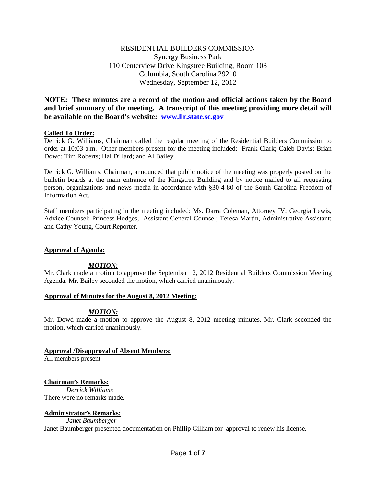# RESIDENTIAL BUILDERS COMMISSION Synergy Business Park 110 Centerview Drive Kingstree Building, Room 108 Columbia, South Carolina 29210 Wednesday, September 12, 2012

**NOTE: These minutes are a record of the motion and official actions taken by the Board and brief summary of the meeting. A transcript of this meeting providing more detail will be available on the Board's website: [www.llr.state.sc.gov](http://www.llr.state.sc.gov/)**

# **Called To Order:**

Derrick G. Williams, Chairman called the regular meeting of the Residential Builders Commission to order at 10:03 a.m. Other members present for the meeting included: Frank Clark; Caleb Davis; Brian Dowd; Tim Roberts; Hal Dillard; and Al Bailey.

Derrick G. Williams, Chairman, announced that public notice of the meeting was properly posted on the bulletin boards at the main entrance of the Kingstree Building and by notice mailed to all requesting person, organizations and news media in accordance with §30-4-80 of the South Carolina Freedom of Information Act.

Staff members participating in the meeting included: Ms. Darra Coleman, Attorney IV; Georgia Lewis, Advice Counsel; Princess Hodges, Assistant General Counsel; Teresa Martin, Administrative Assistant; and Cathy Young, Court Reporter.

## **Approval of Agenda:**

# *MOTION:*

Mr. Clark made a motion to approve the September 12, 2012 Residential Builders Commission Meeting Agenda. Mr. Bailey seconded the motion, which carried unanimously.

## **Approval of Minutes for the August 8, 2012 Meeting:**

# *MOTION:*

Mr. Dowd made a motion to approve the August 8, 2012 meeting minutes. Mr. Clark seconded the motion, which carried unanimously.

# **Approval /Disapproval of Absent Members:**

All members present

# **Chairman's Remarks:**

*Derrick Williams* There were no remarks made.

## **Administrator's Remarks:**

*Janet Baumberger* Janet Baumberger presented documentation on Phillip Gilliam for approval to renew his license.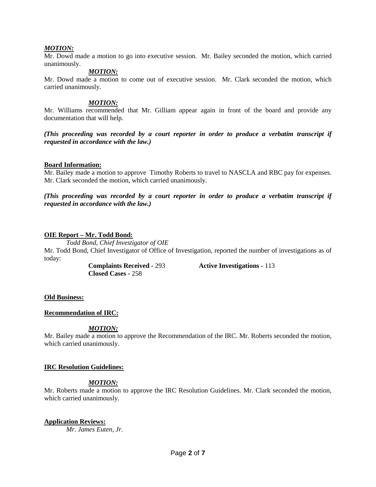## *MOTION:*

Mr. Dowd made a motion to go into executive session. Mr. Bailey seconded the motion, which carried unanimously.

#### *MOTION:*

Mr. Dowd made a motion to come out of executive session. Mr. Clark seconded the motion, which carried unanimously.

#### *MOTION:*

Mr. Williams recommended that Mr. Gilliam appear again in front of the board and provide any documentation that will help.

*(This proceeding was recorded by a court reporter in order to produce a verbatim transcript if requested in accordance with the law.)*

#### **Board Information:**

Mr. Bailey made a motion to approve Timothy Roberts to travel to NASCLA and RBC pay for expenses. Mr. Clark seconded the motion, which carried unanimously.

*(This proceeding was recorded by a court reporter in order to produce a verbatim transcript if requested in accordance with the law.)*

#### **OIE Report – Mr. Todd Bond:**

*Todd Bond, Chief Investigator of OIE*

Mr. Todd Bond, Chief Investigator of Office of Investigation, reported the number of investigations as of today:

**Closed Cases -** 258

**Complaints Received -** 293 **Active Investigations -** 113

#### **Old Business:**

## **Recommendation of IRC:**

## *MOTION:*

Mr. Bailey made a motion to approve the Recommendation of the IRC. Mr. Roberts seconded the motion, which carried unanimously.

## **IRC Resolution Guidelines:**

## *MOTION:*

Mr. Roberts made a motion to approve the IRC Resolution Guidelines. Mr. Clark seconded the motion, which carried unanimously.

## **Application Reviews:**

*Mr. James Euten, Jr.*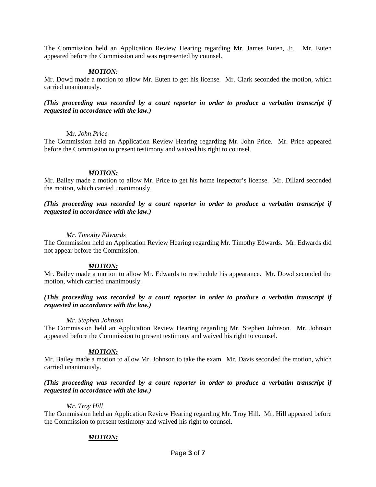The Commission held an Application Review Hearing regarding Mr. James Euten, Jr.. Mr. Euten appeared before the Commission and was represented by counsel.

## *MOTION:*

Mr. Dowd made a motion to allow Mr. Euten to get his license. Mr. Clark seconded the motion, which carried unanimously.

## *(This proceeding was recorded by a court reporter in order to produce a verbatim transcript if requested in accordance with the law.)*

## Mr. *John Price*

The Commission held an Application Review Hearing regarding Mr. John Price. Mr. Price appeared before the Commission to present testimony and waived his right to counsel.

## *MOTION:*

Mr. Bailey made a motion to allow Mr. Price to get his home inspector's license. Mr. Dillard seconded the motion, which carried unanimously.

*(This proceeding was recorded by a court reporter in order to produce a verbatim transcript if requested in accordance with the law.)*

#### *Mr. Timothy Edwards*

The Commission held an Application Review Hearing regarding Mr. Timothy Edwards. Mr. Edwards did not appear before the Commission.

## *MOTION:*

Mr. Bailey made a motion to allow Mr. Edwards to reschedule his appearance. Mr. Dowd seconded the motion, which carried unanimously.

## *(This proceeding was recorded by a court reporter in order to produce a verbatim transcript if requested in accordance with the law.)*

## *Mr. Stephen Johnson*

The Commission held an Application Review Hearing regarding Mr. Stephen Johnson. Mr. Johnson appeared before the Commission to present testimony and waived his right to counsel.

## *MOTION:*

Mr. Bailey made a motion to allow Mr. Johnson to take the exam. Mr. Davis seconded the motion, which carried unanimously.

# *(This proceeding was recorded by a court reporter in order to produce a verbatim transcript if requested in accordance with the law.)*

## *Mr. Troy Hill*

The Commission held an Application Review Hearing regarding Mr. Troy Hill. Mr. Hill appeared before the Commission to present testimony and waived his right to counsel.

## *MOTION:*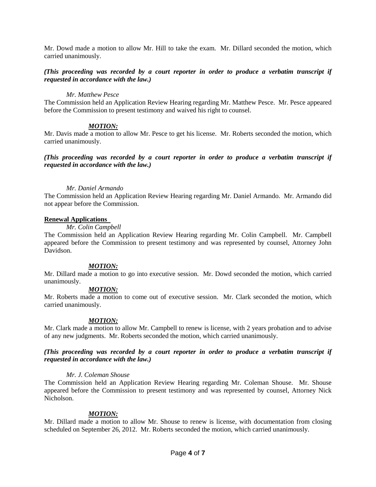Mr. Dowd made a motion to allow Mr. Hill to take the exam. Mr. Dillard seconded the motion, which carried unanimously.

# *(This proceeding was recorded by a court reporter in order to produce a verbatim transcript if requested in accordance with the law.)*

#### *Mr. Matthew Pesce*

The Commission held an Application Review Hearing regarding Mr. Matthew Pesce. Mr. Pesce appeared before the Commission to present testimony and waived his right to counsel.

# *MOTION:*

Mr. Davis made a motion to allow Mr. Pesce to get his license. Mr. Roberts seconded the motion, which carried unanimously.

## *(This proceeding was recorded by a court reporter in order to produce a verbatim transcript if requested in accordance with the law.)*

## *Mr. Daniel Armando*

The Commission held an Application Review Hearing regarding Mr. Daniel Armando. Mr. Armando did not appear before the Commission.

## **Renewal Applications**

# *Mr. Colin Campbell*

The Commission held an Application Review Hearing regarding Mr. Colin Campbell. Mr. Campbell appeared before the Commission to present testimony and was represented by counsel, Attorney John Davidson.

## *MOTION:*

Mr. Dillard made a motion to go into executive session. Mr. Dowd seconded the motion, which carried unanimously.

# *MOTION:*

Mr. Roberts made a motion to come out of executive session. Mr. Clark seconded the motion, which carried unanimously.

## *MOTION:*

Mr. Clark made a motion to allow Mr. Campbell to renew is license, with 2 years probation and to advise of any new judgments. Mr. Roberts seconded the motion, which carried unanimously.

## *(This proceeding was recorded by a court reporter in order to produce a verbatim transcript if requested in accordance with the law.)*

## *Mr. J. Coleman Shouse*

The Commission held an Application Review Hearing regarding Mr. Coleman Shouse. Mr. Shouse appeared before the Commission to present testimony and was represented by counsel, Attorney Nick Nicholson.

## *MOTION:*

Mr. Dillard made a motion to allow Mr. Shouse to renew is license, with documentation from closing scheduled on September 26, 2012. Mr. Roberts seconded the motion, which carried unanimously.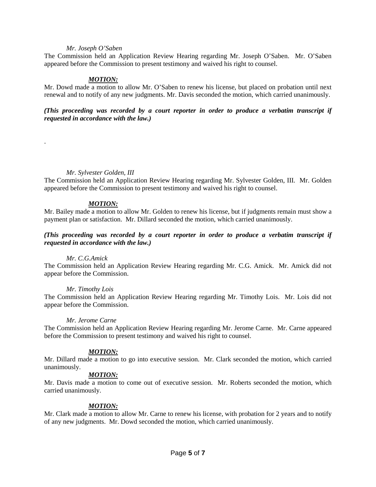#### *Mr. Joseph O'Saben*

The Commission held an Application Review Hearing regarding Mr. Joseph O'Saben. Mr. O'Saben appeared before the Commission to present testimony and waived his right to counsel.

## *MOTION:*

Mr. Dowd made a motion to allow Mr. O'Saben to renew his license, but placed on probation until next renewal and to notify of any new judgments. Mr. Davis seconded the motion, which carried unanimously.

*(This proceeding was recorded by a court reporter in order to produce a verbatim transcript if requested in accordance with the law.)*

#### *Mr. Sylvester Golden, III*

.

The Commission held an Application Review Hearing regarding Mr. Sylvester Golden, III. Mr. Golden appeared before the Commission to present testimony and waived his right to counsel.

#### *MOTION:*

Mr. Bailey made a motion to allow Mr. Golden to renew his license, but if judgments remain must show a payment plan or satisfaction. Mr. Dillard seconded the motion, which carried unanimously.

## *(This proceeding was recorded by a court reporter in order to produce a verbatim transcript if requested in accordance with the law.)*

#### *Mr. C.G.Amick*

The Commission held an Application Review Hearing regarding Mr. C.G. Amick. Mr. Amick did not appear before the Commission.

#### *Mr. Timothy Lois*

The Commission held an Application Review Hearing regarding Mr. Timothy Lois. Mr. Lois did not appear before the Commission.

#### *Mr. Jerome Carne*

The Commission held an Application Review Hearing regarding Mr. Jerome Carne. Mr. Carne appeared before the Commission to present testimony and waived his right to counsel.

## *MOTION:*

Mr. Dillard made a motion to go into executive session. Mr. Clark seconded the motion, which carried unanimously.

#### *MOTION:*

Mr. Davis made a motion to come out of executive session. Mr. Roberts seconded the motion, which carried unanimously.

## *MOTION:*

Mr. Clark made a motion to allow Mr. Carne to renew his license, with probation for 2 years and to notify of any new judgments. Mr. Dowd seconded the motion, which carried unanimously.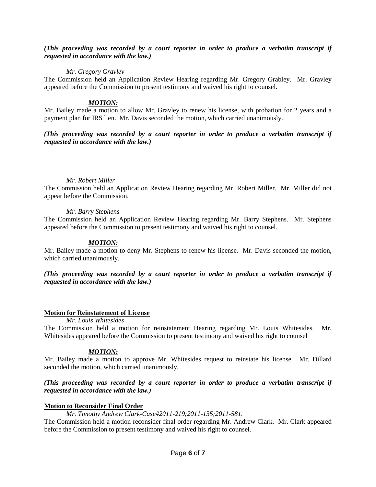## *(This proceeding was recorded by a court reporter in order to produce a verbatim transcript if requested in accordance with the law.)*

## *Mr. Gregory Gravley*

The Commission held an Application Review Hearing regarding Mr. Gregory Grabley. Mr. Gravley appeared before the Commission to present testimony and waived his right to counsel.

# *MOTION:*

Mr. Bailey made a motion to allow Mr. Gravley to renew his license, with probation for 2 years and a payment plan for IRS lien. Mr. Davis seconded the motion, which carried unanimously.

# *(This proceeding was recorded by a court reporter in order to produce a verbatim transcript if requested in accordance with the law.)*

# *Mr. Robert Miller*

The Commission held an Application Review Hearing regarding Mr. Robert Miller. Mr. Miller did not appear before the Commission.

# *Mr. Barry Stephens*

The Commission held an Application Review Hearing regarding Mr. Barry Stephens. Mr. Stephens appeared before the Commission to present testimony and waived his right to counsel.

# *MOTION:*

Mr. Bailey made a motion to deny Mr. Stephens to renew his license. Mr. Davis seconded the motion, which carried unanimously.

*(This proceeding was recorded by a court reporter in order to produce a verbatim transcript if requested in accordance with the law.)*

# **Motion for Reinstatement of License**

*Mr. Louis Whitesides*

The Commission held a motion for reinstatement Hearing regarding Mr. Louis Whitesides. Mr. Whitesides appeared before the Commission to present testimony and waived his right to counsel

# *MOTION:*

Mr. Bailey made a motion to approve Mr. Whitesides request to reinstate his license. Mr. Dillard seconded the motion, which carried unanimously.

# *(This proceeding was recorded by a court reporter in order to produce a verbatim transcript if requested in accordance with the law.)*

## **Motion to Reconsider Final Order**

## *Mr. Timothy Andrew Clark-Case#2011-219;2011-135;2011-581.*

The Commission held a motion reconsider final order regarding Mr. Andrew Clark. Mr. Clark appeared before the Commission to present testimony and waived his right to counsel.